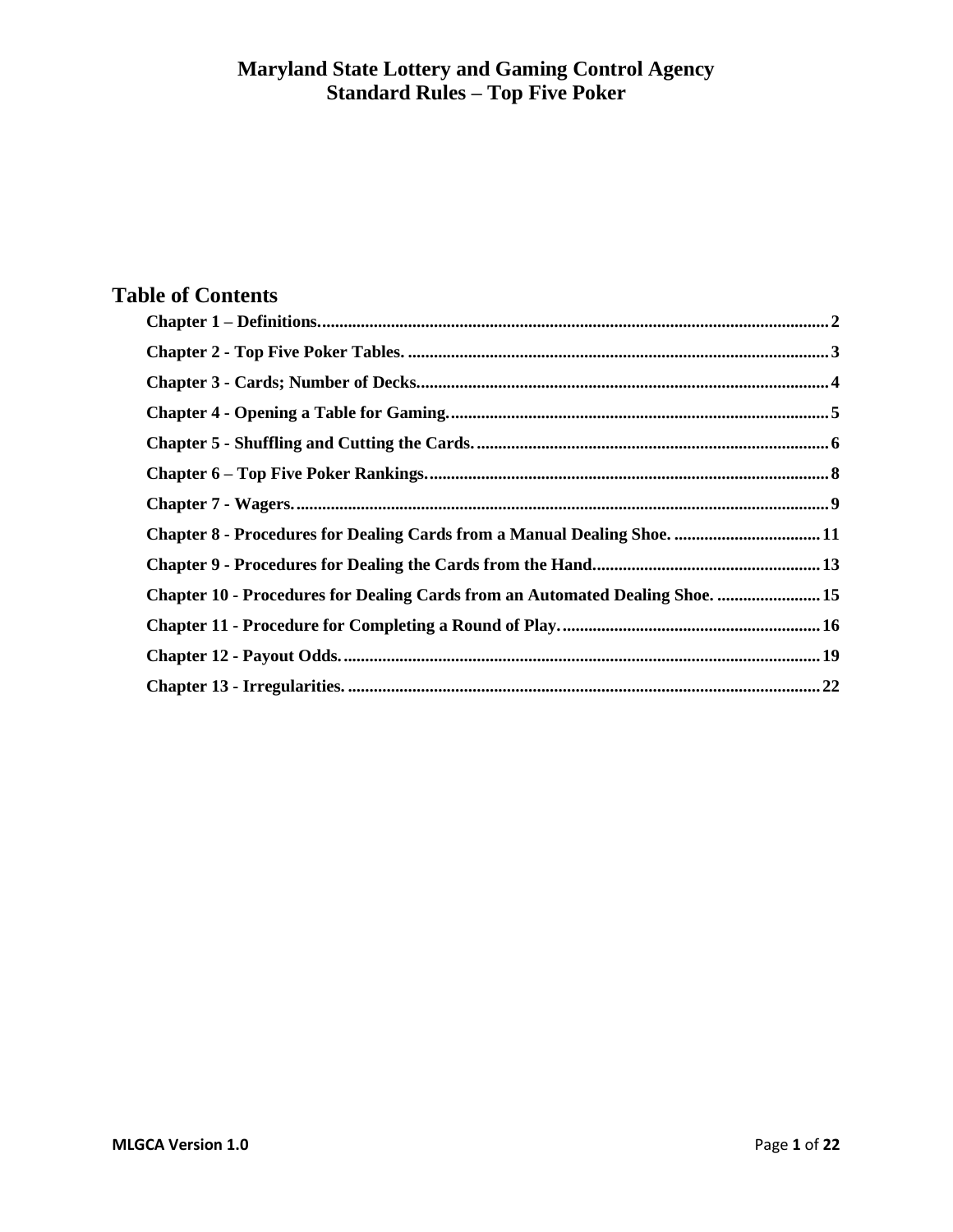# **Table of Contents**

| <b>Chapter 8 - Procedures for Dealing Cards from a Manual Dealing Shoe.  11</b> |  |
|---------------------------------------------------------------------------------|--|
|                                                                                 |  |
| Chapter 10 - Procedures for Dealing Cards from an Automated Dealing Shoe.  15   |  |
|                                                                                 |  |
|                                                                                 |  |
|                                                                                 |  |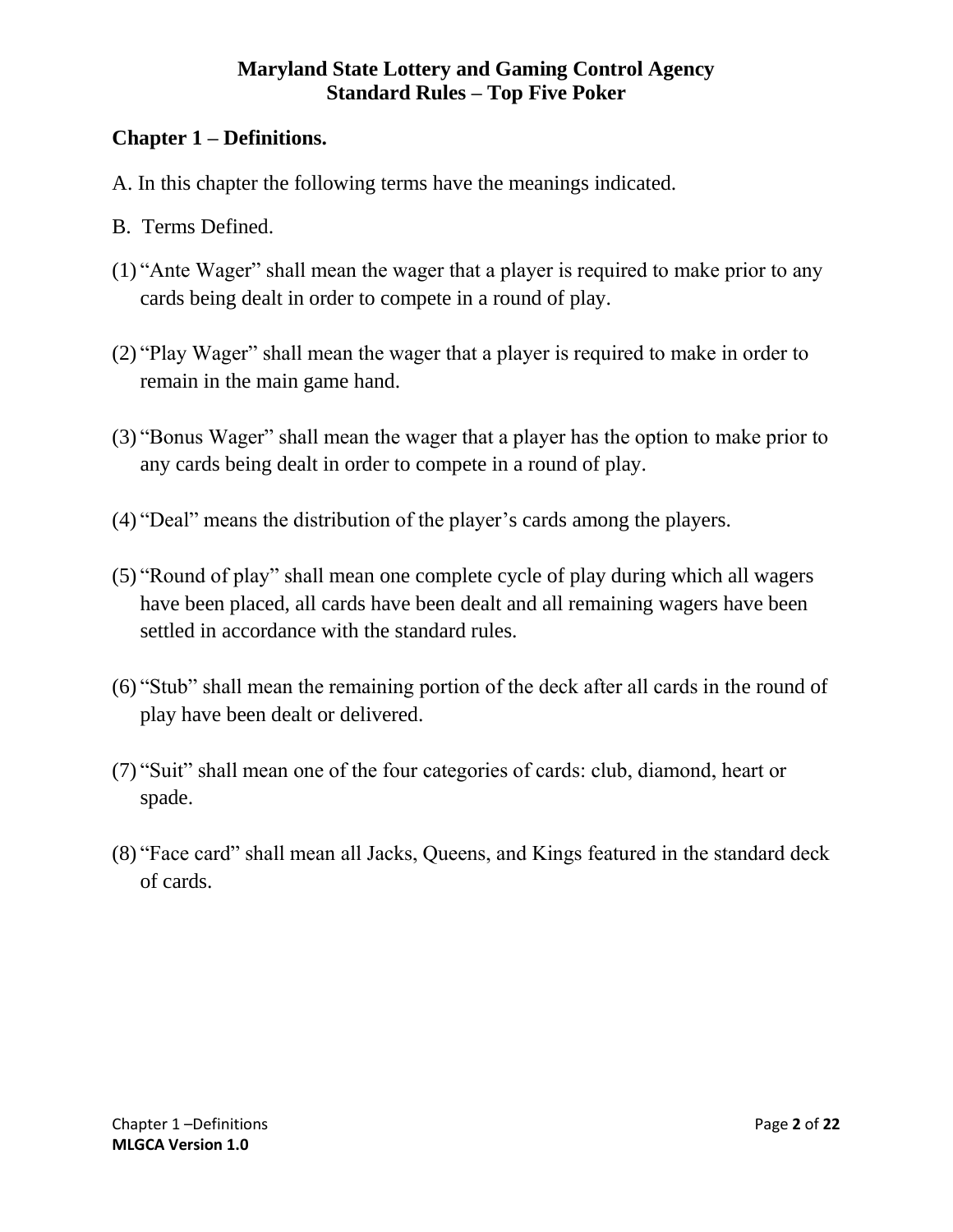# <span id="page-1-0"></span>**Chapter 1 – Definitions.**

- A. In this chapter the following terms have the meanings indicated.
- B. Terms Defined.
- (1) "Ante Wager" shall mean the wager that a player is required to make prior to any cards being dealt in order to compete in a round of play.
- (2) "Play Wager" shall mean the wager that a player is required to make in order to remain in the main game hand.
- (3) "Bonus Wager" shall mean the wager that a player has the option to make prior to any cards being dealt in order to compete in a round of play.
- (4) "Deal" means the distribution of the player's cards among the players.
- (5) "Round of play" shall mean one complete cycle of play during which all wagers have been placed, all cards have been dealt and all remaining wagers have been settled in accordance with the standard rules.
- (6) "Stub" shall mean the remaining portion of the deck after all cards in the round of play have been dealt or delivered.
- (7) "Suit" shall mean one of the four categories of cards: club, diamond, heart or spade.
- (8) "Face card" shall mean all Jacks, Queens, and Kings featured in the standard deck of cards.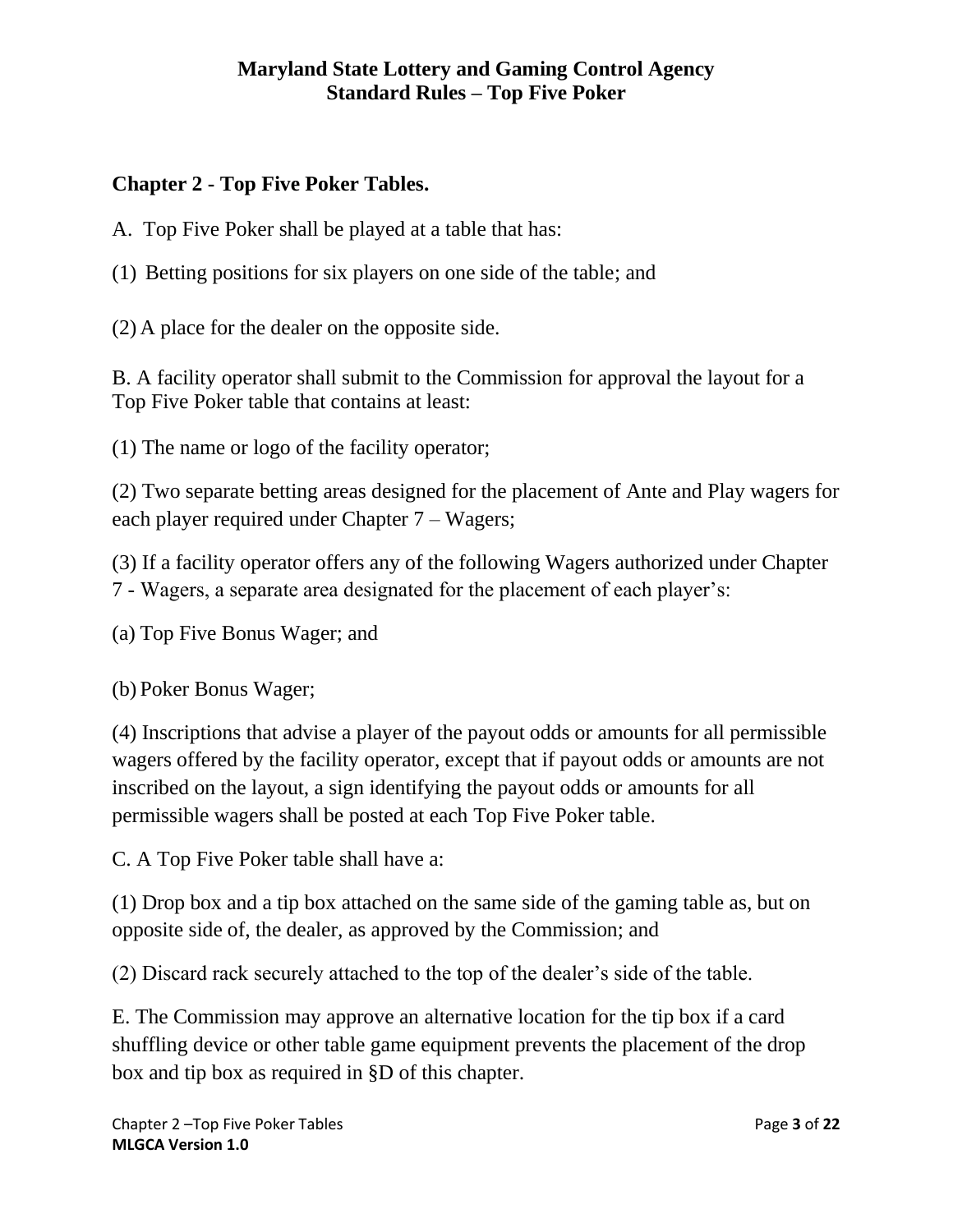# <span id="page-2-0"></span>**Chapter 2 - Top Five Poker Tables.**

A. Top Five Poker shall be played at a table that has:

(1) Betting positions for six players on one side of the table; and

(2) A place for the dealer on the opposite side.

B. A facility operator shall submit to the Commission for approval the layout for a Top Five Poker table that contains at least:

(1) The name or logo of the facility operator;

(2) Two separate betting areas designed for the placement of Ante and Play wagers for each player required under Chapter 7 – Wagers;

(3) If a facility operator offers any of the following Wagers authorized under Chapter 7 - Wagers, a separate area designated for the placement of each player's:

(a) Top Five Bonus Wager; and

(b) Poker Bonus Wager;

(4) Inscriptions that advise a player of the payout odds or amounts for all permissible wagers offered by the facility operator, except that if payout odds or amounts are not inscribed on the layout, a sign identifying the payout odds or amounts for all permissible wagers shall be posted at each Top Five Poker table.

C. A Top Five Poker table shall have a:

(1) Drop box and a tip box attached on the same side of the gaming table as, but on opposite side of, the dealer, as approved by the Commission; and

(2) Discard rack securely attached to the top of the dealer's side of the table.

E. The Commission may approve an alternative location for the tip box if a card shuffling device or other table game equipment prevents the placement of the drop box and tip box as required in §D of this chapter.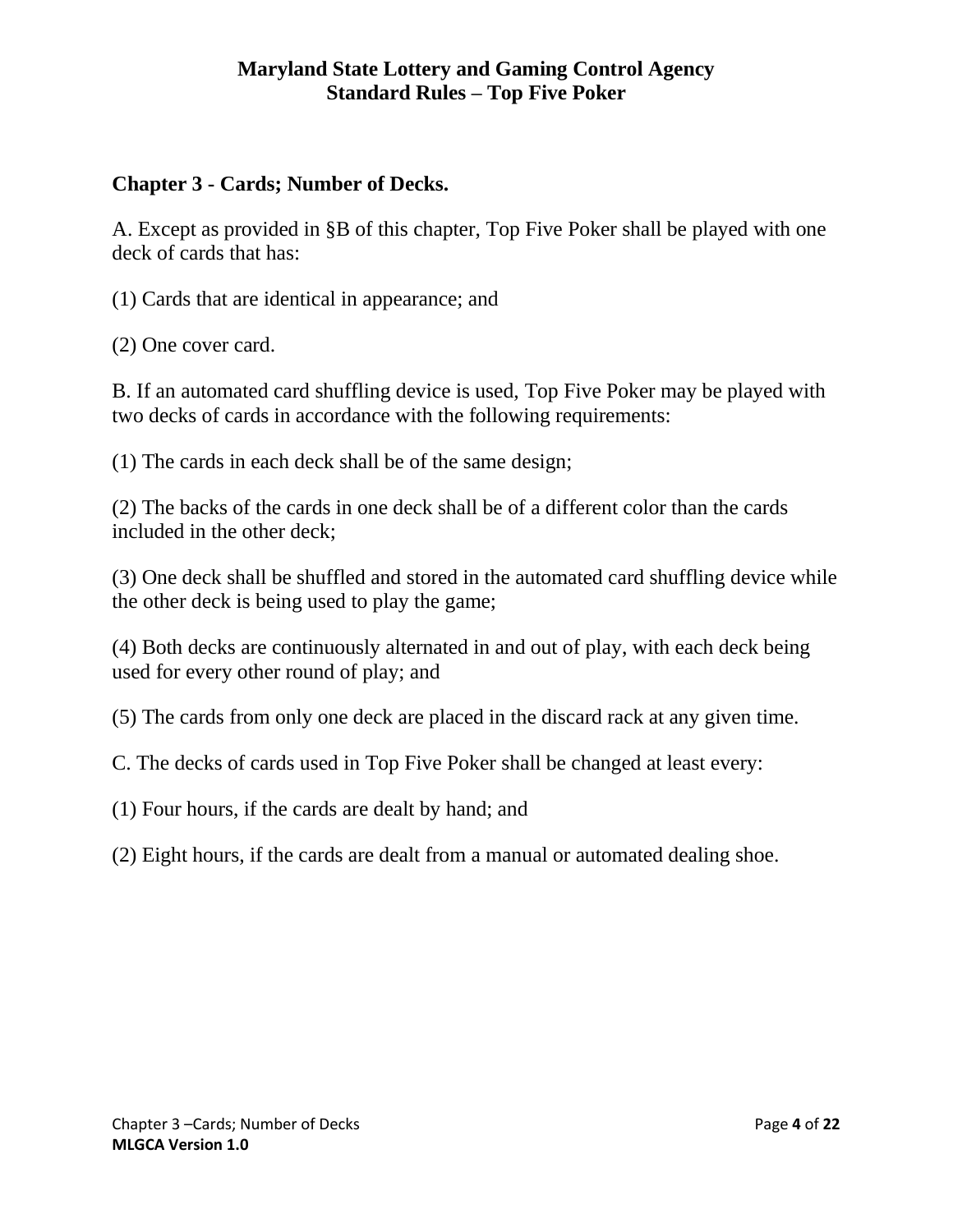# <span id="page-3-0"></span>**Chapter 3 - Cards; Number of Decks.**

A. Except as provided in §B of this chapter, Top Five Poker shall be played with one deck of cards that has:

(1) Cards that are identical in appearance; and

(2) One cover card.

B. If an automated card shuffling device is used, Top Five Poker may be played with two decks of cards in accordance with the following requirements:

(1) The cards in each deck shall be of the same design;

(2) The backs of the cards in one deck shall be of a different color than the cards included in the other deck;

(3) One deck shall be shuffled and stored in the automated card shuffling device while the other deck is being used to play the game;

(4) Both decks are continuously alternated in and out of play, with each deck being used for every other round of play; and

(5) The cards from only one deck are placed in the discard rack at any given time.

C. The decks of cards used in Top Five Poker shall be changed at least every:

(1) Four hours, if the cards are dealt by hand; and

(2) Eight hours, if the cards are dealt from a manual or automated dealing shoe.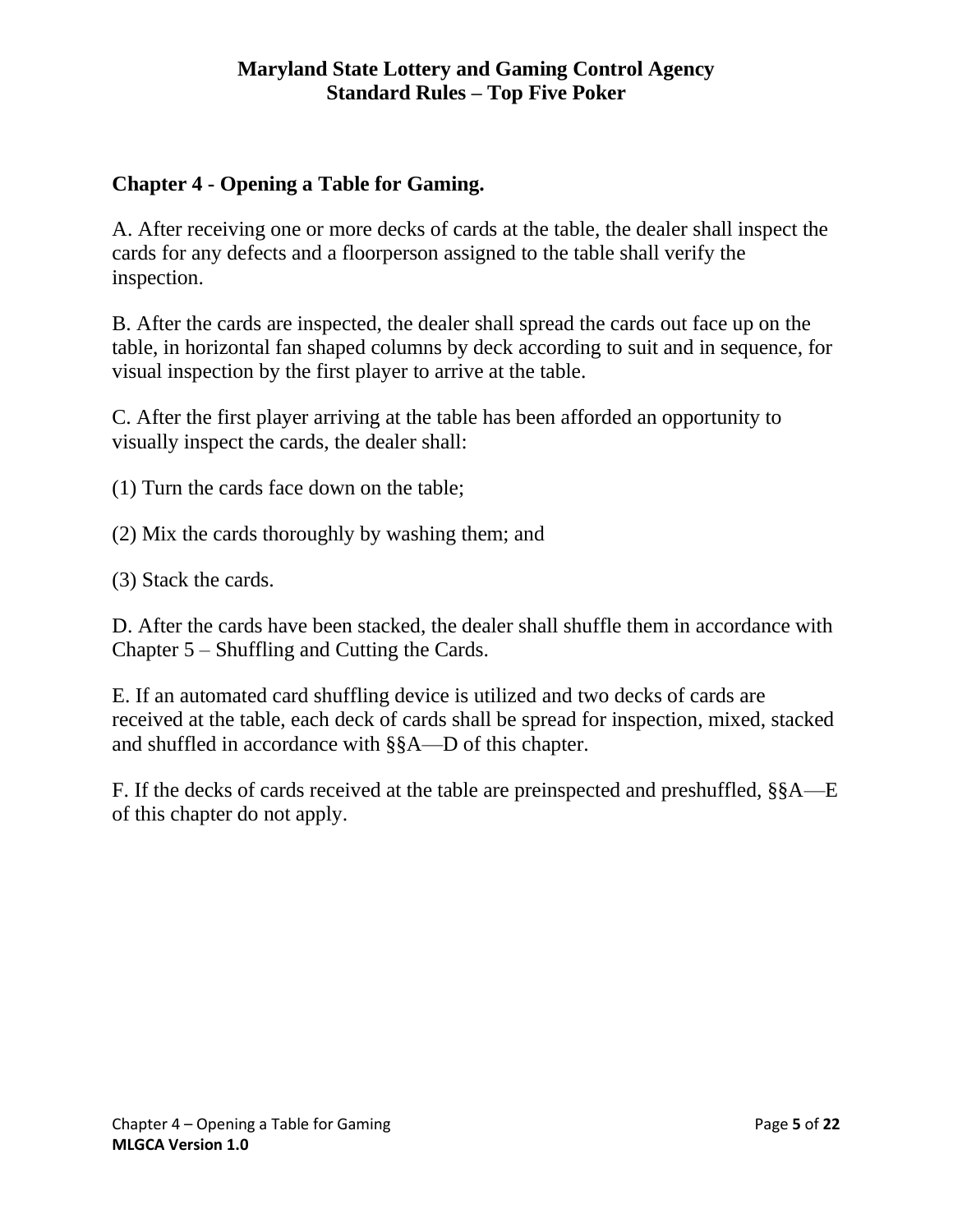# <span id="page-4-0"></span>**Chapter 4 - Opening a Table for Gaming.**

A. After receiving one or more decks of cards at the table, the dealer shall inspect the cards for any defects and a floorperson assigned to the table shall verify the inspection.

B. After the cards are inspected, the dealer shall spread the cards out face up on the table, in horizontal fan shaped columns by deck according to suit and in sequence, for visual inspection by the first player to arrive at the table.

C. After the first player arriving at the table has been afforded an opportunity to visually inspect the cards, the dealer shall:

(1) Turn the cards face down on the table;

(2) Mix the cards thoroughly by washing them; and

(3) Stack the cards.

D. After the cards have been stacked, the dealer shall shuffle them in accordance with Chapter 5 – Shuffling and Cutting the Cards.

E. If an automated card shuffling device is utilized and two decks of cards are received at the table, each deck of cards shall be spread for inspection, mixed, stacked and shuffled in accordance with §§A—D of this chapter.

F. If the decks of cards received at the table are preinspected and preshuffled, §§A—E of this chapter do not apply.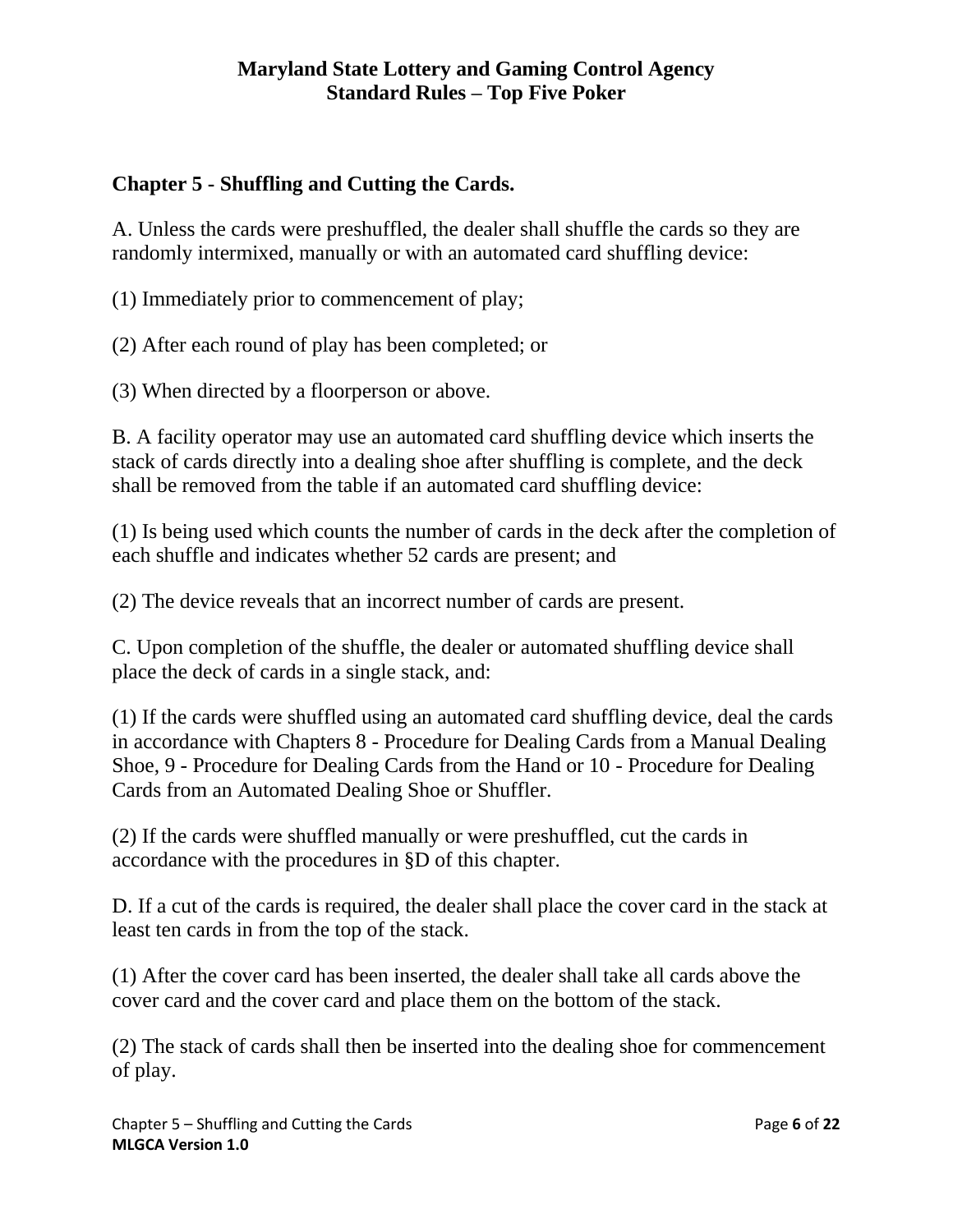# <span id="page-5-0"></span>**Chapter 5 - Shuffling and Cutting the Cards.**

A. Unless the cards were preshuffled, the dealer shall shuffle the cards so they are randomly intermixed, manually or with an automated card shuffling device:

(1) Immediately prior to commencement of play;

(2) After each round of play has been completed; or

(3) When directed by a floorperson or above.

B. A facility operator may use an automated card shuffling device which inserts the stack of cards directly into a dealing shoe after shuffling is complete, and the deck shall be removed from the table if an automated card shuffling device:

(1) Is being used which counts the number of cards in the deck after the completion of each shuffle and indicates whether 52 cards are present; and

(2) The device reveals that an incorrect number of cards are present.

C. Upon completion of the shuffle, the dealer or automated shuffling device shall place the deck of cards in a single stack, and:

(1) If the cards were shuffled using an automated card shuffling device, deal the cards in accordance with Chapters 8 - Procedure for Dealing Cards from a Manual Dealing Shoe, 9 - Procedure for Dealing Cards from the Hand or 10 - Procedure for Dealing Cards from an Automated Dealing Shoe or Shuffler.

(2) If the cards were shuffled manually or were preshuffled, cut the cards in accordance with the procedures in §D of this chapter.

D. If a cut of the cards is required, the dealer shall place the cover card in the stack at least ten cards in from the top of the stack.

(1) After the cover card has been inserted, the dealer shall take all cards above the cover card and the cover card and place them on the bottom of the stack.

(2) The stack of cards shall then be inserted into the dealing shoe for commencement of play.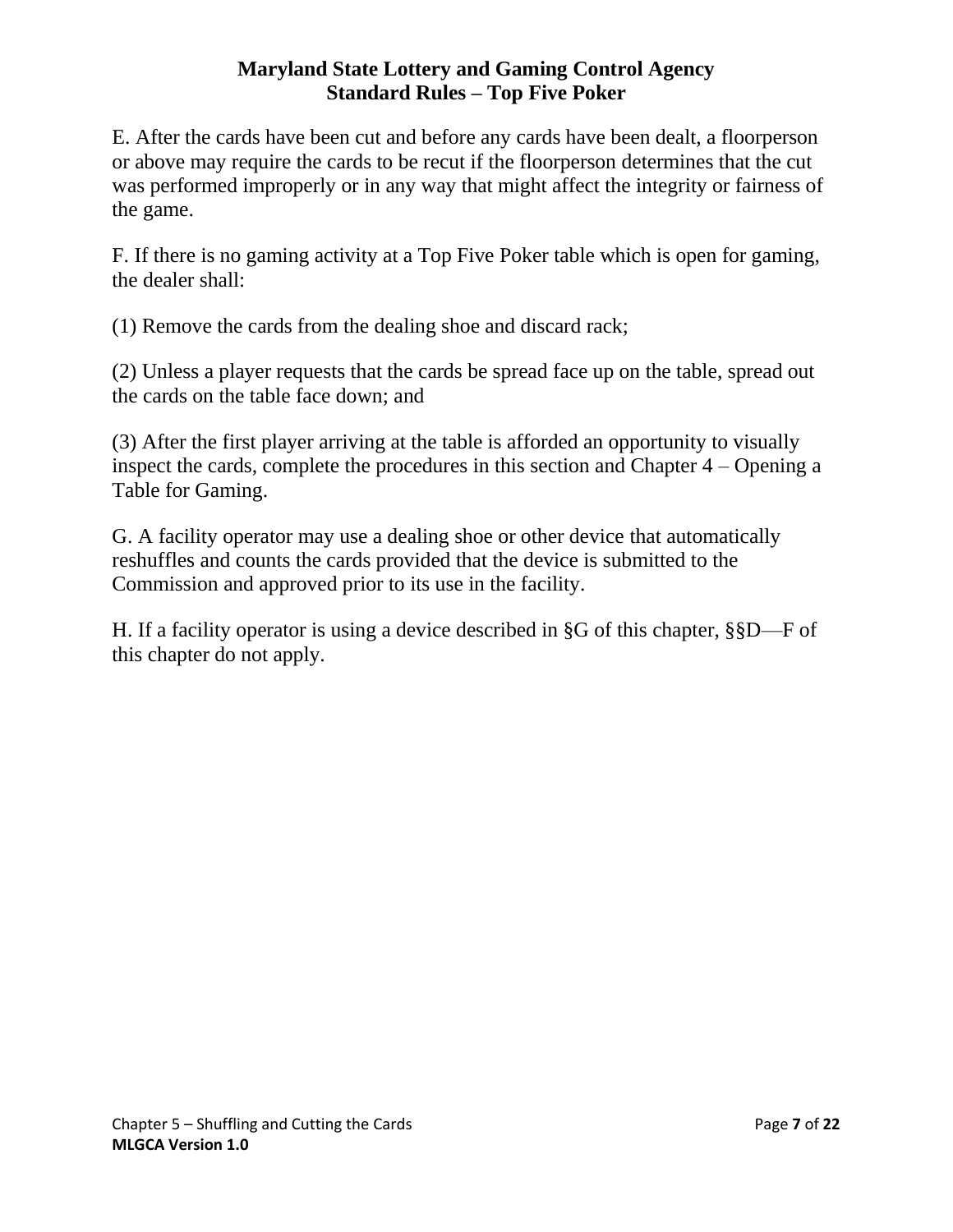E. After the cards have been cut and before any cards have been dealt, a floorperson or above may require the cards to be recut if the floorperson determines that the cut was performed improperly or in any way that might affect the integrity or fairness of the game.

F. If there is no gaming activity at a Top Five Poker table which is open for gaming, the dealer shall:

(1) Remove the cards from the dealing shoe and discard rack;

(2) Unless a player requests that the cards be spread face up on the table, spread out the cards on the table face down; and

(3) After the first player arriving at the table is afforded an opportunity to visually inspect the cards, complete the procedures in this section and Chapter 4 – Opening a Table for Gaming.

G. A facility operator may use a dealing shoe or other device that automatically reshuffles and counts the cards provided that the device is submitted to the Commission and approved prior to its use in the facility.

H. If a facility operator is using a device described in §G of this chapter, §§D—F of this chapter do not apply.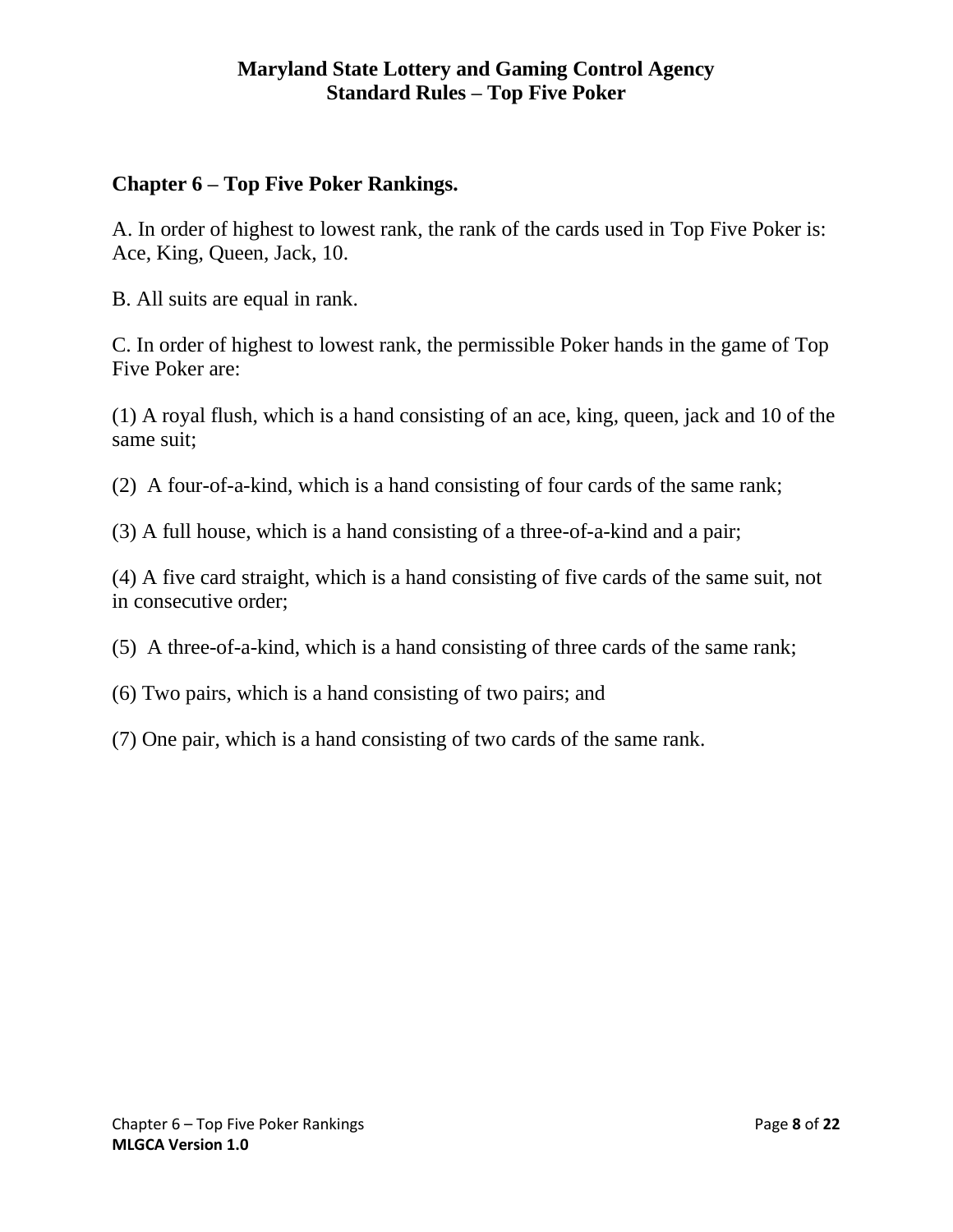## <span id="page-7-0"></span>**Chapter 6 – Top Five Poker Rankings.**

A. In order of highest to lowest rank, the rank of the cards used in Top Five Poker is: Ace, King, Queen, Jack, 10.

B. All suits are equal in rank.

C. In order of highest to lowest rank, the permissible Poker hands in the game of Top Five Poker are:

(1) A royal flush, which is a hand consisting of an ace, king, queen, jack and 10 of the same suit;

(2) A four-of-a-kind, which is a hand consisting of four cards of the same rank;

(3) A full house, which is a hand consisting of a three-of-a-kind and a pair;

(4) A five card straight, which is a hand consisting of five cards of the same suit, not in consecutive order;

- (5) A three-of-a-kind, which is a hand consisting of three cards of the same rank;
- (6) Two pairs, which is a hand consisting of two pairs; and
- (7) One pair, which is a hand consisting of two cards of the same rank.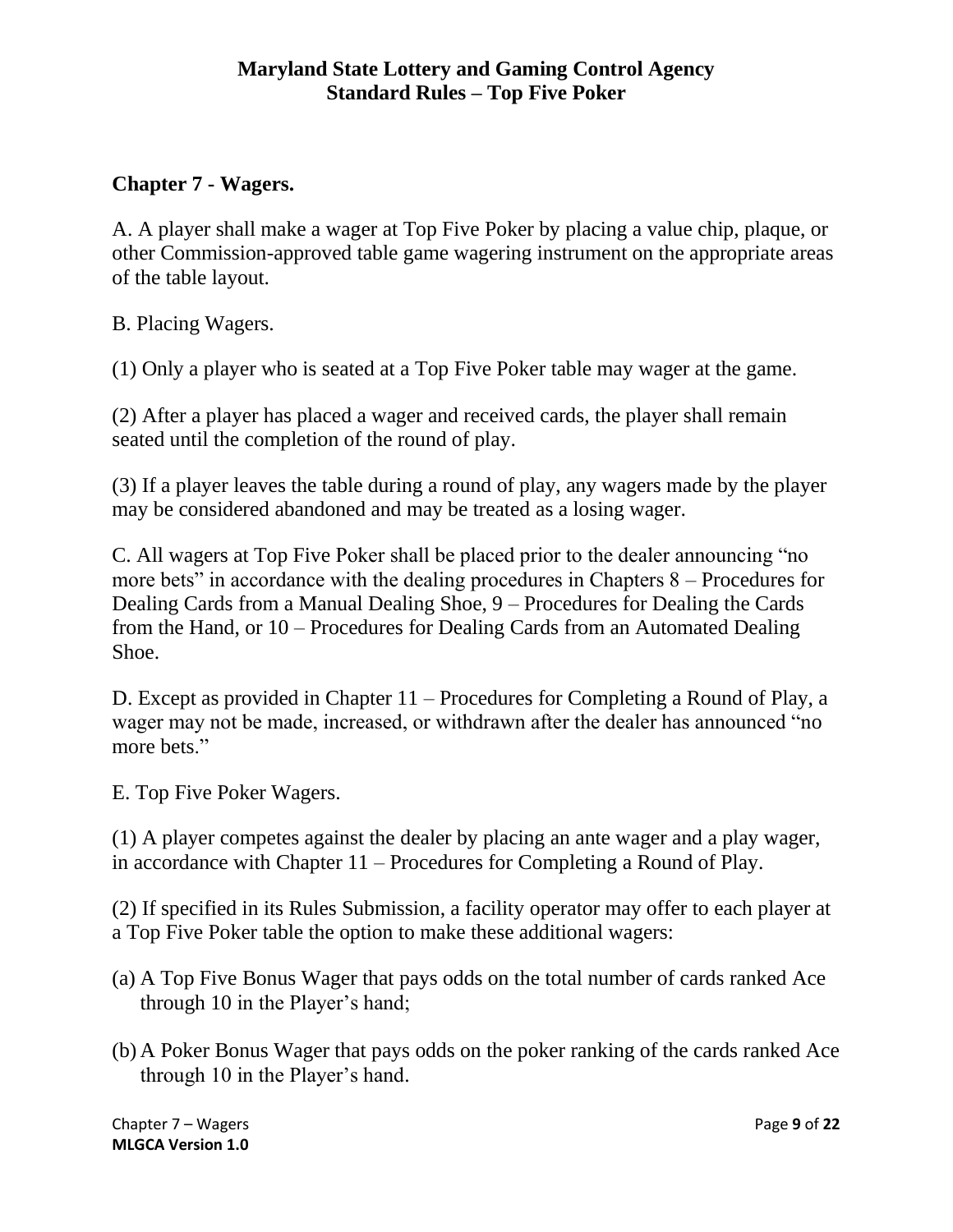# <span id="page-8-0"></span>**Chapter 7 - Wagers.**

A. A player shall make a wager at Top Five Poker by placing a value chip, plaque, or other Commission-approved table game wagering instrument on the appropriate areas of the table layout.

B. Placing Wagers.

(1) Only a player who is seated at a Top Five Poker table may wager at the game.

(2) After a player has placed a wager and received cards, the player shall remain seated until the completion of the round of play.

(3) If a player leaves the table during a round of play, any wagers made by the player may be considered abandoned and may be treated as a losing wager.

C. All wagers at Top Five Poker shall be placed prior to the dealer announcing "no more bets" in accordance with the dealing procedures in Chapters 8 – Procedures for Dealing Cards from a Manual Dealing Shoe, 9 – Procedures for Dealing the Cards from the Hand, or 10 – Procedures for Dealing Cards from an Automated Dealing Shoe.

D. Except as provided in Chapter 11 – Procedures for Completing a Round of Play, a wager may not be made, increased, or withdrawn after the dealer has announced "no more bets."

E. Top Five Poker Wagers.

(1) A player competes against the dealer by placing an ante wager and a play wager, in accordance with Chapter 11 – Procedures for Completing a Round of Play.

(2) If specified in its Rules Submission, a facility operator may offer to each player at a Top Five Poker table the option to make these additional wagers:

- (a) A Top Five Bonus Wager that pays odds on the total number of cards ranked Ace through 10 in the Player's hand;
- (b) A Poker Bonus Wager that pays odds on the poker ranking of the cards ranked Ace through 10 in the Player's hand.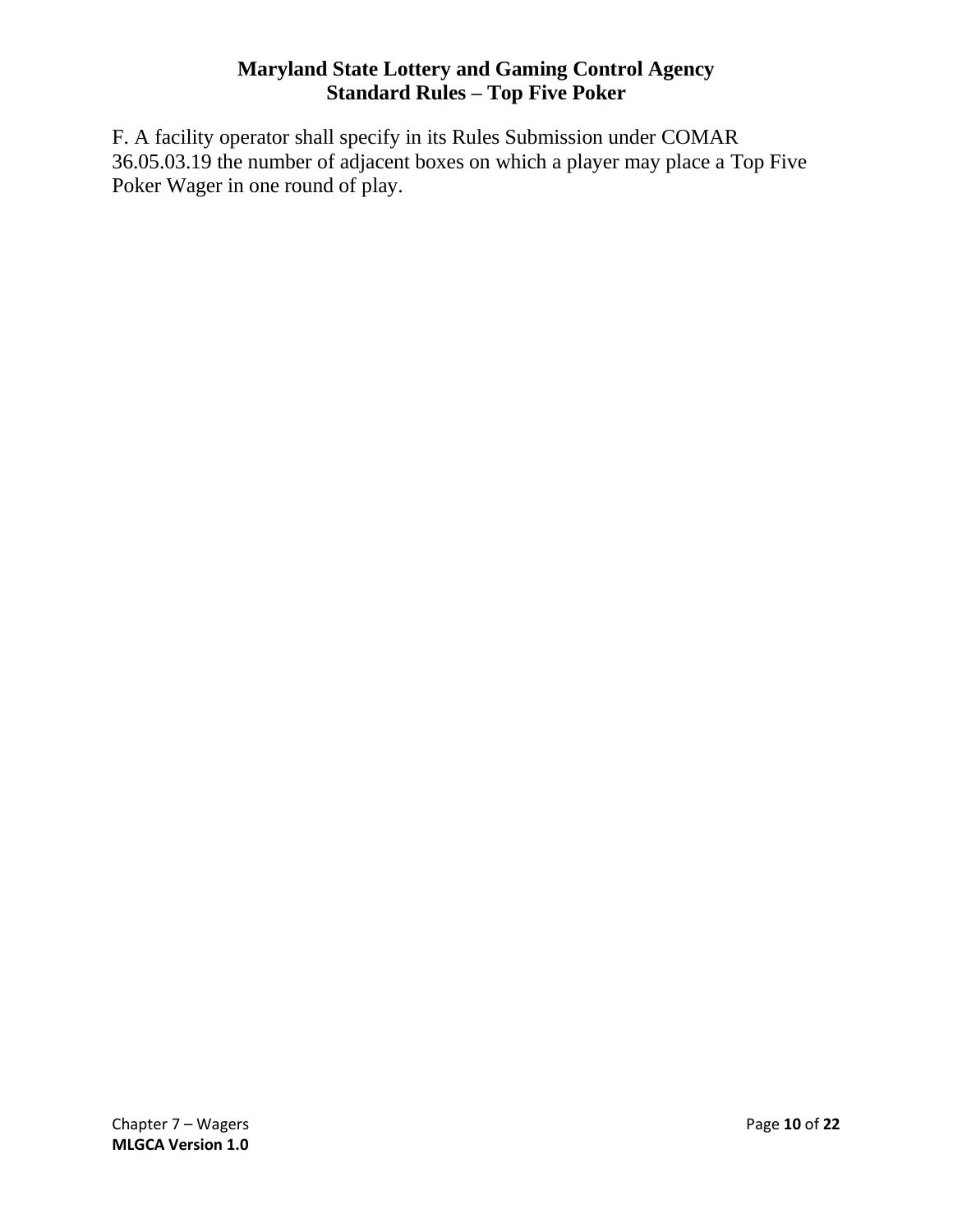F. A facility operator shall specify in its Rules Submission under COMAR 36.05.03.19 the number of adjacent boxes on which a player may place a Top Five Poker Wager in one round of play.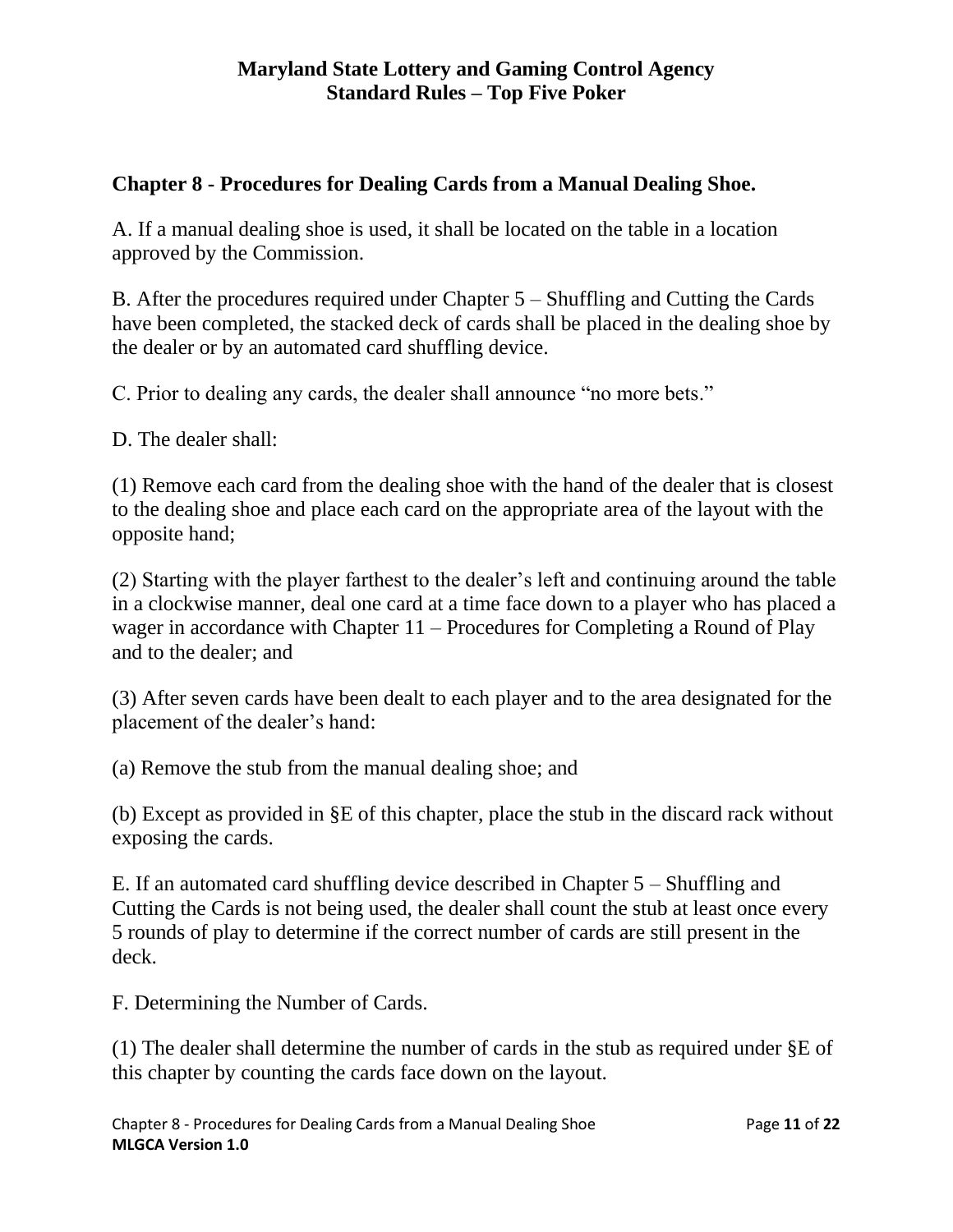# <span id="page-10-0"></span>**Chapter 8 - Procedures for Dealing Cards from a Manual Dealing Shoe.**

A. If a manual dealing shoe is used, it shall be located on the table in a location approved by the Commission.

B. After the procedures required under Chapter 5 – Shuffling and Cutting the Cards have been completed, the stacked deck of cards shall be placed in the dealing shoe by the dealer or by an automated card shuffling device.

C. Prior to dealing any cards, the dealer shall announce "no more bets."

D. The dealer shall:

(1) Remove each card from the dealing shoe with the hand of the dealer that is closest to the dealing shoe and place each card on the appropriate area of the layout with the opposite hand;

(2) Starting with the player farthest to the dealer's left and continuing around the table in a clockwise manner, deal one card at a time face down to a player who has placed a wager in accordance with Chapter 11 – Procedures for Completing a Round of Play and to the dealer; and

(3) After seven cards have been dealt to each player and to the area designated for the placement of the dealer's hand:

(a) Remove the stub from the manual dealing shoe; and

(b) Except as provided in §E of this chapter, place the stub in the discard rack without exposing the cards.

E. If an automated card shuffling device described in Chapter 5 – Shuffling and Cutting the Cards is not being used, the dealer shall count the stub at least once every 5 rounds of play to determine if the correct number of cards are still present in the deck.

F. Determining the Number of Cards.

(1) The dealer shall determine the number of cards in the stub as required under §E of this chapter by counting the cards face down on the layout.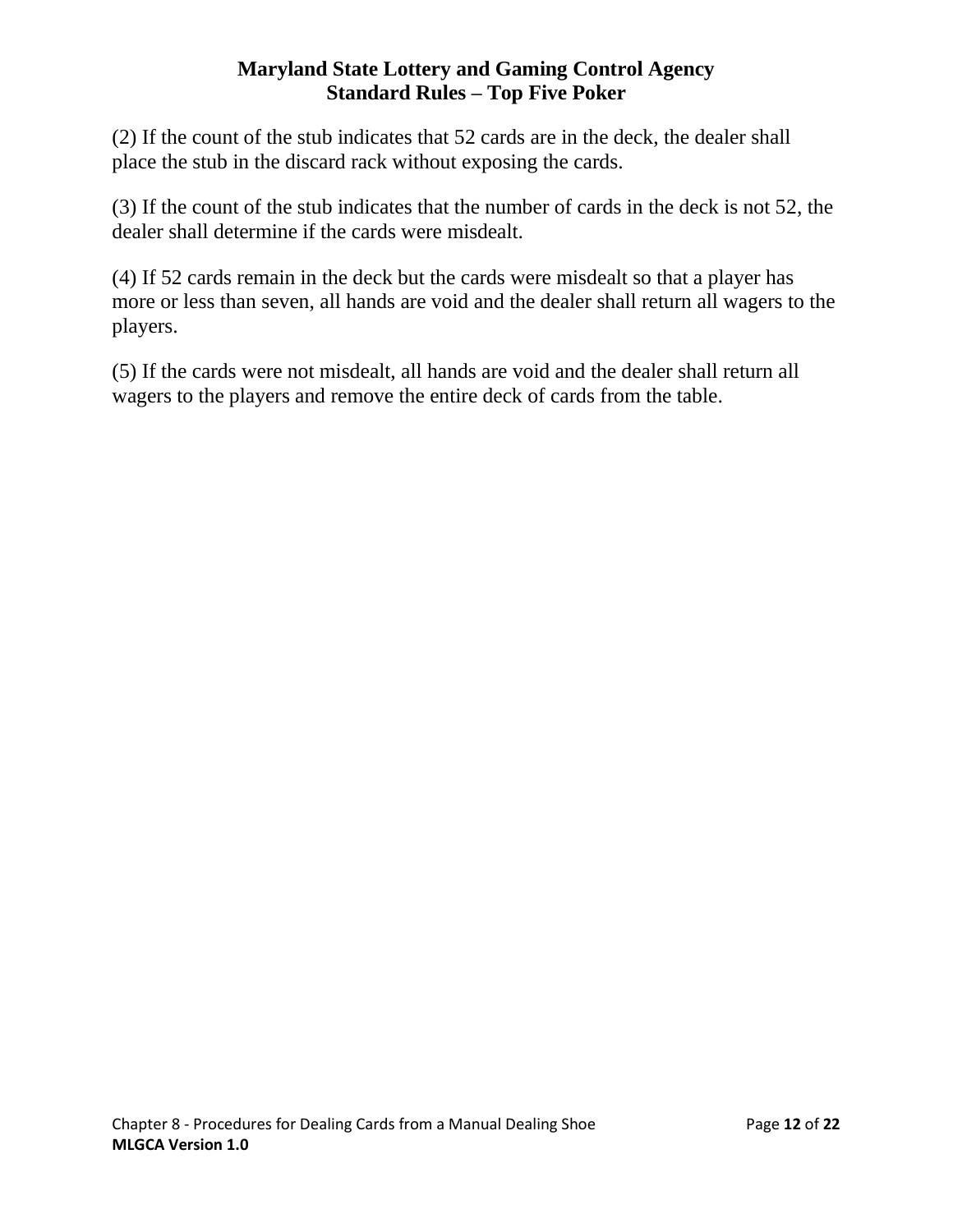(2) If the count of the stub indicates that 52 cards are in the deck, the dealer shall place the stub in the discard rack without exposing the cards.

(3) If the count of the stub indicates that the number of cards in the deck is not 52, the dealer shall determine if the cards were misdealt.

(4) If 52 cards remain in the deck but the cards were misdealt so that a player has more or less than seven, all hands are void and the dealer shall return all wagers to the players.

(5) If the cards were not misdealt, all hands are void and the dealer shall return all wagers to the players and remove the entire deck of cards from the table.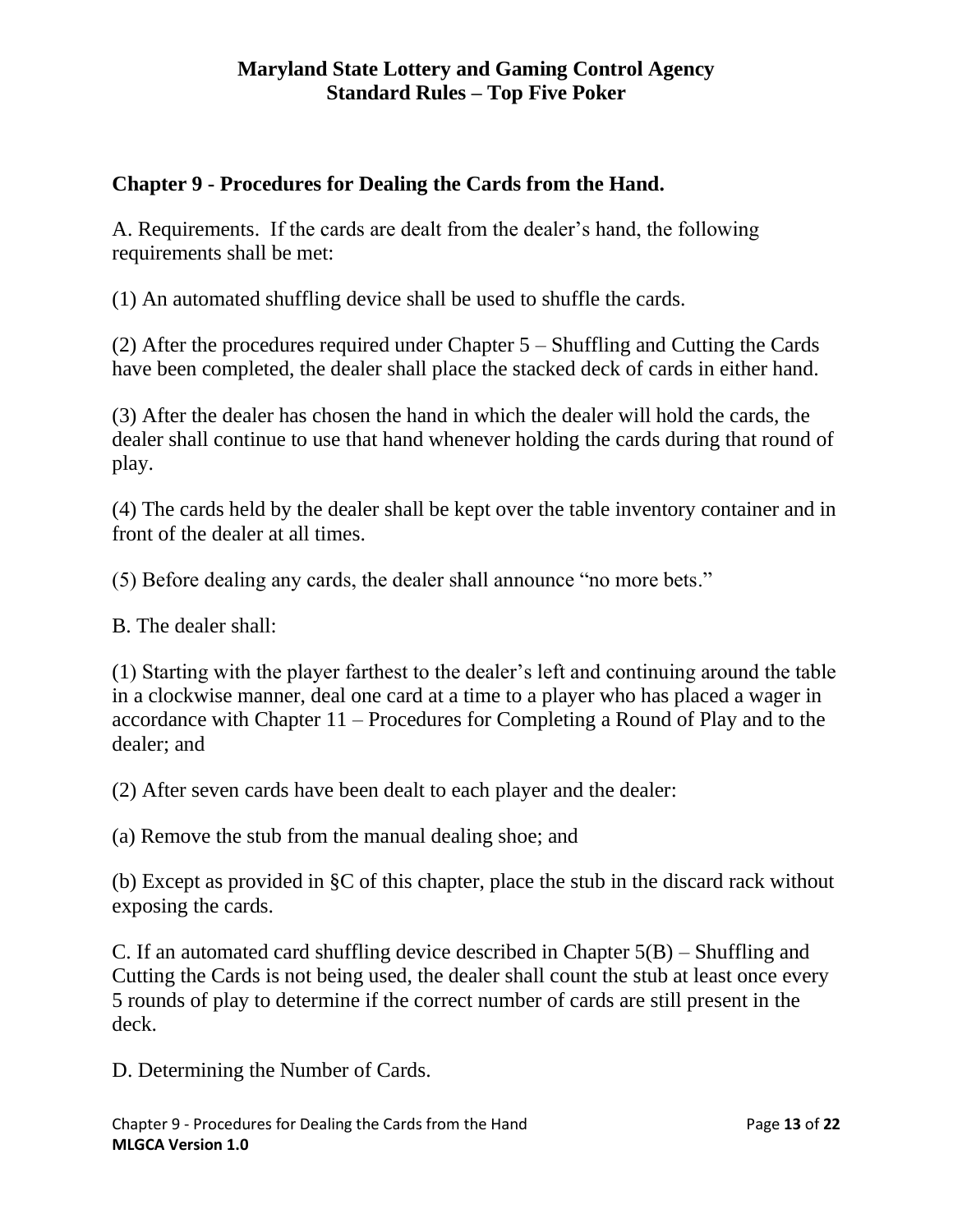# <span id="page-12-0"></span>**Chapter 9 - Procedures for Dealing the Cards from the Hand.**

A. Requirements. If the cards are dealt from the dealer's hand, the following requirements shall be met:

(1) An automated shuffling device shall be used to shuffle the cards.

(2) After the procedures required under Chapter 5 – Shuffling and Cutting the Cards have been completed, the dealer shall place the stacked deck of cards in either hand.

(3) After the dealer has chosen the hand in which the dealer will hold the cards, the dealer shall continue to use that hand whenever holding the cards during that round of play.

(4) The cards held by the dealer shall be kept over the table inventory container and in front of the dealer at all times.

(5) Before dealing any cards, the dealer shall announce "no more bets."

B. The dealer shall:

(1) Starting with the player farthest to the dealer's left and continuing around the table in a clockwise manner, deal one card at a time to a player who has placed a wager in accordance with Chapter 11 – Procedures for Completing a Round of Play and to the dealer; and

(2) After seven cards have been dealt to each player and the dealer:

(a) Remove the stub from the manual dealing shoe; and

(b) Except as provided in §C of this chapter, place the stub in the discard rack without exposing the cards.

C. If an automated card shuffling device described in Chapter 5(B) – Shuffling and Cutting the Cards is not being used, the dealer shall count the stub at least once every 5 rounds of play to determine if the correct number of cards are still present in the deck.

D. Determining the Number of Cards.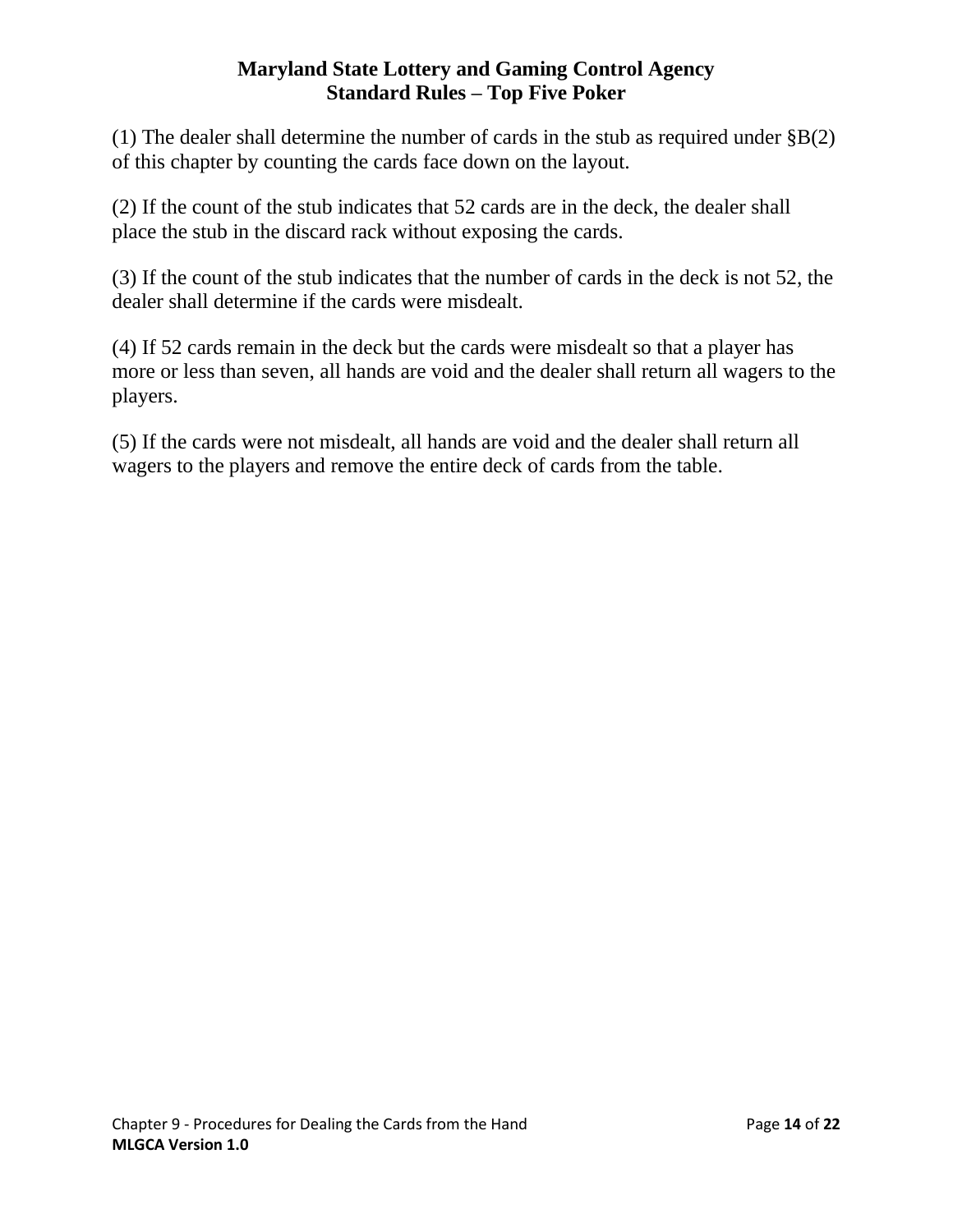(1) The dealer shall determine the number of cards in the stub as required under  $\S B(2)$ of this chapter by counting the cards face down on the layout.

(2) If the count of the stub indicates that 52 cards are in the deck, the dealer shall place the stub in the discard rack without exposing the cards.

(3) If the count of the stub indicates that the number of cards in the deck is not 52, the dealer shall determine if the cards were misdealt.

(4) If 52 cards remain in the deck but the cards were misdealt so that a player has more or less than seven, all hands are void and the dealer shall return all wagers to the players.

(5) If the cards were not misdealt, all hands are void and the dealer shall return all wagers to the players and remove the entire deck of cards from the table.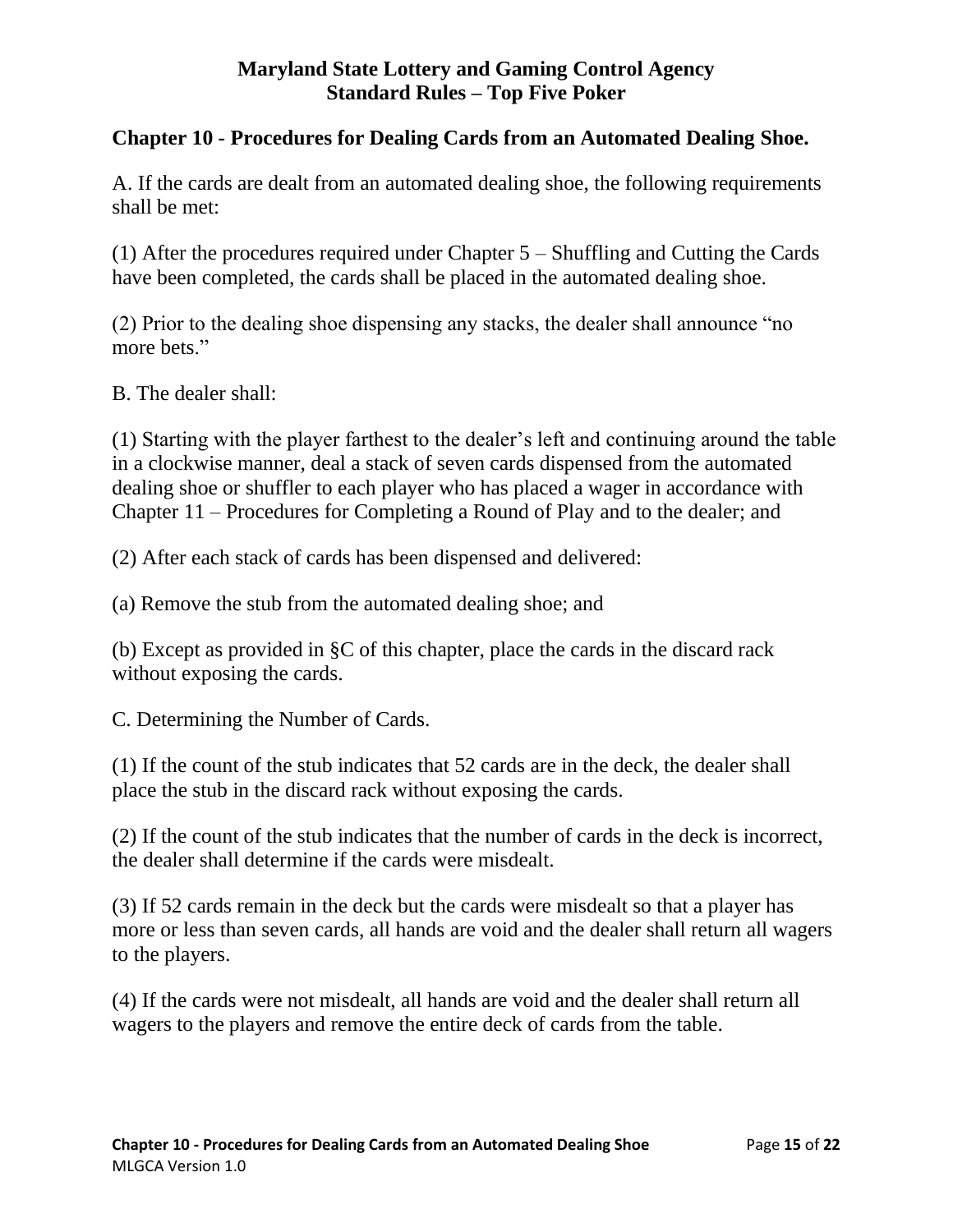# <span id="page-14-0"></span>**Chapter 10 - Procedures for Dealing Cards from an Automated Dealing Shoe.**

A. If the cards are dealt from an automated dealing shoe, the following requirements shall be met:

(1) After the procedures required under Chapter 5 – Shuffling and Cutting the Cards have been completed, the cards shall be placed in the automated dealing shoe.

(2) Prior to the dealing shoe dispensing any stacks, the dealer shall announce "no more bets."

B. The dealer shall:

(1) Starting with the player farthest to the dealer's left and continuing around the table in a clockwise manner, deal a stack of seven cards dispensed from the automated dealing shoe or shuffler to each player who has placed a wager in accordance with Chapter 11 – Procedures for Completing a Round of Play and to the dealer; and

(2) After each stack of cards has been dispensed and delivered:

(a) Remove the stub from the automated dealing shoe; and

(b) Except as provided in §C of this chapter, place the cards in the discard rack without exposing the cards.

C. Determining the Number of Cards.

(1) If the count of the stub indicates that 52 cards are in the deck, the dealer shall place the stub in the discard rack without exposing the cards.

(2) If the count of the stub indicates that the number of cards in the deck is incorrect, the dealer shall determine if the cards were misdealt.

(3) If 52 cards remain in the deck but the cards were misdealt so that a player has more or less than seven cards, all hands are void and the dealer shall return all wagers to the players.

(4) If the cards were not misdealt, all hands are void and the dealer shall return all wagers to the players and remove the entire deck of cards from the table.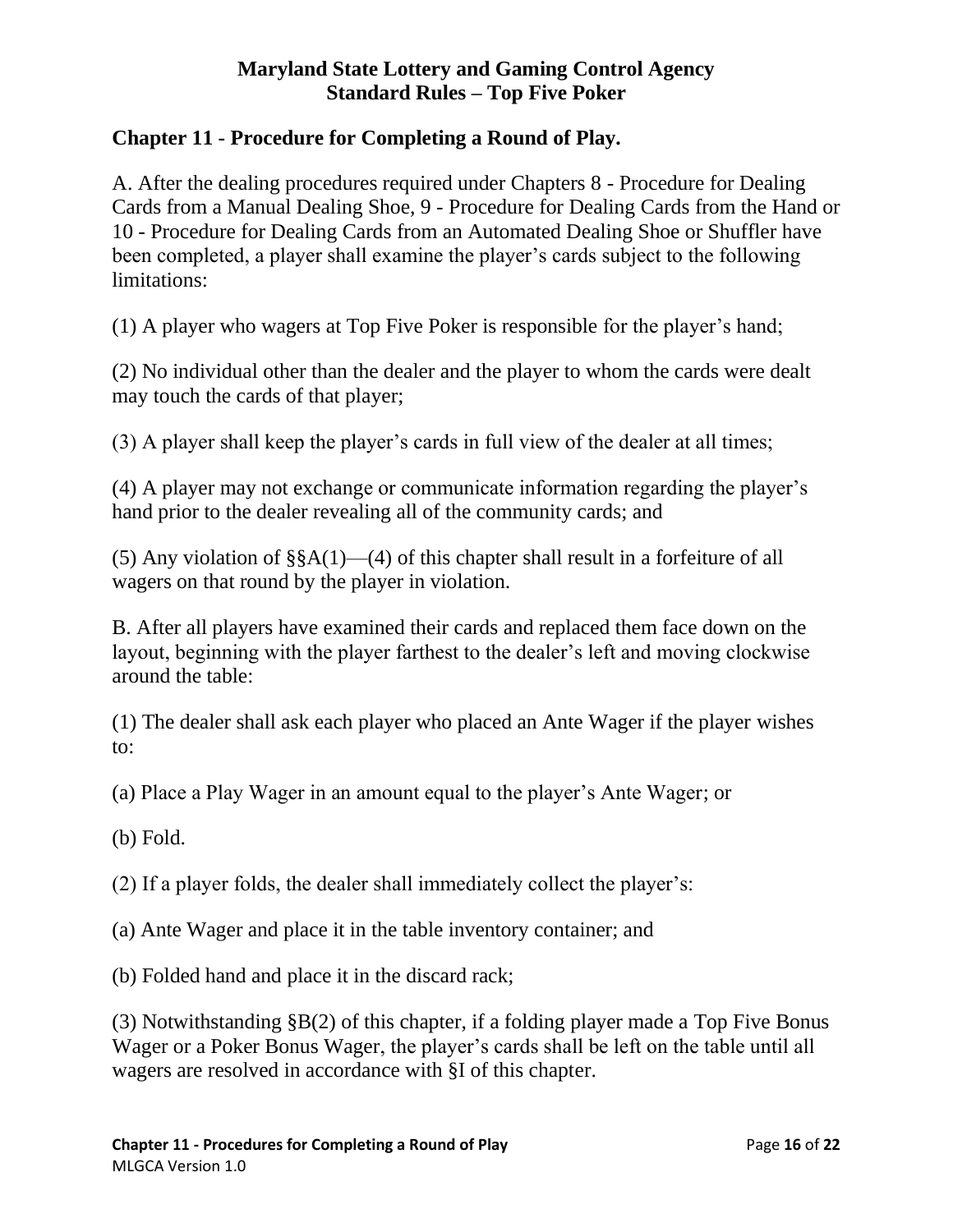# <span id="page-15-0"></span>**Chapter 11 - Procedure for Completing a Round of Play.**

A. After the dealing procedures required under Chapters 8 - Procedure for Dealing Cards from a Manual Dealing Shoe, 9 - Procedure for Dealing Cards from the Hand or 10 - Procedure for Dealing Cards from an Automated Dealing Shoe or Shuffler have been completed, a player shall examine the player's cards subject to the following limitations:

(1) A player who wagers at Top Five Poker is responsible for the player's hand;

(2) No individual other than the dealer and the player to whom the cards were dealt may touch the cards of that player;

(3) A player shall keep the player's cards in full view of the dealer at all times;

(4) A player may not exchange or communicate information regarding the player's hand prior to the dealer revealing all of the community cards; and

(5) Any violation of  $\S\ A(1)$ —(4) of this chapter shall result in a forfeiture of all wagers on that round by the player in violation.

B. After all players have examined their cards and replaced them face down on the layout, beginning with the player farthest to the dealer's left and moving clockwise around the table:

(1) The dealer shall ask each player who placed an Ante Wager if the player wishes to:

(a) Place a Play Wager in an amount equal to the player's Ante Wager; or

(b) Fold.

(2) If a player folds, the dealer shall immediately collect the player's:

(a) Ante Wager and place it in the table inventory container; and

(b) Folded hand and place it in the discard rack;

(3) Notwithstanding §B(2) of this chapter, if a folding player made a Top Five Bonus Wager or a Poker Bonus Wager, the player's cards shall be left on the table until all wagers are resolved in accordance with §I of this chapter.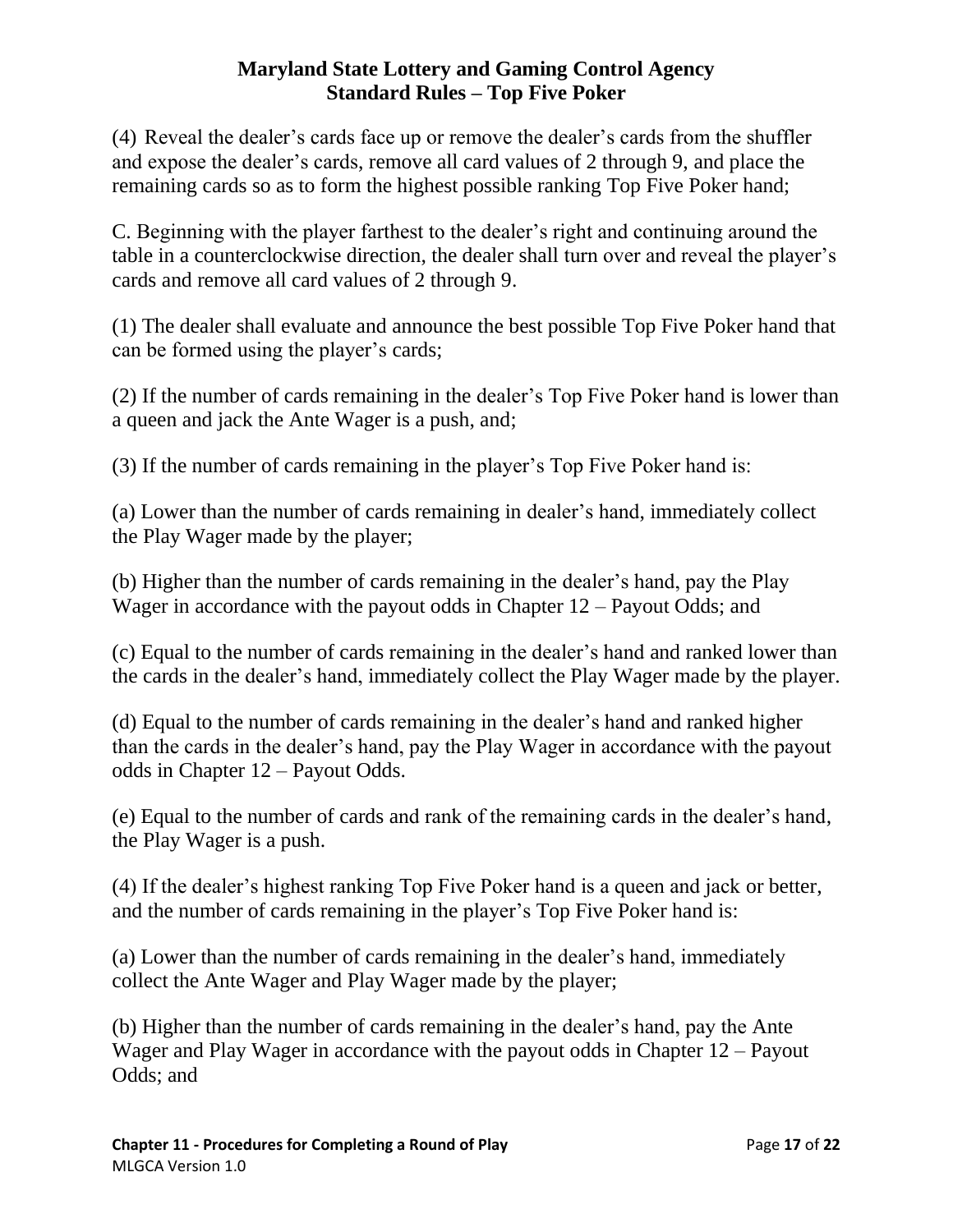(4) Reveal the dealer's cards face up or remove the dealer's cards from the shuffler and expose the dealer's cards, remove all card values of 2 through 9, and place the remaining cards so as to form the highest possible ranking Top Five Poker hand;

C. Beginning with the player farthest to the dealer's right and continuing around the table in a counterclockwise direction, the dealer shall turn over and reveal the player's cards and remove all card values of 2 through 9.

(1) The dealer shall evaluate and announce the best possible Top Five Poker hand that can be formed using the player's cards;

(2) If the number of cards remaining in the dealer's Top Five Poker hand is lower than a queen and jack the Ante Wager is a push, and;

(3) If the number of cards remaining in the player's Top Five Poker hand is:

(a) Lower than the number of cards remaining in dealer's hand, immediately collect the Play Wager made by the player;

(b) Higher than the number of cards remaining in the dealer's hand, pay the Play Wager in accordance with the payout odds in Chapter 12 – Payout Odds; and

(c) Equal to the number of cards remaining in the dealer's hand and ranked lower than the cards in the dealer's hand, immediately collect the Play Wager made by the player.

(d) Equal to the number of cards remaining in the dealer's hand and ranked higher than the cards in the dealer's hand, pay the Play Wager in accordance with the payout odds in Chapter 12 – Payout Odds.

(e) Equal to the number of cards and rank of the remaining cards in the dealer's hand, the Play Wager is a push.

(4) If the dealer's highest ranking Top Five Poker hand is a queen and jack or better, and the number of cards remaining in the player's Top Five Poker hand is:

(a) Lower than the number of cards remaining in the dealer's hand, immediately collect the Ante Wager and Play Wager made by the player;

(b) Higher than the number of cards remaining in the dealer's hand, pay the Ante Wager and Play Wager in accordance with the payout odds in Chapter 12 – Payout Odds; and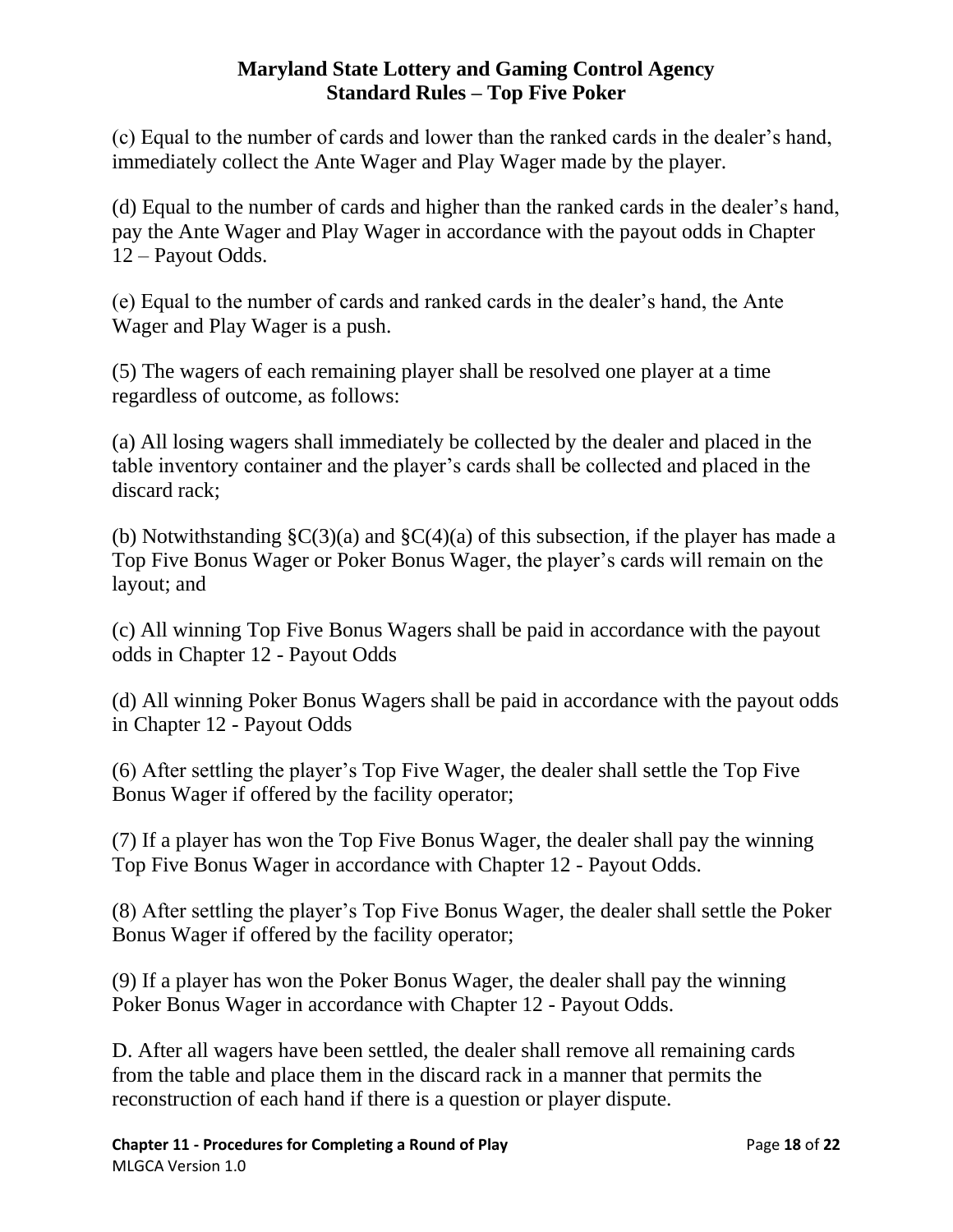(c) Equal to the number of cards and lower than the ranked cards in the dealer's hand, immediately collect the Ante Wager and Play Wager made by the player.

(d) Equal to the number of cards and higher than the ranked cards in the dealer's hand, pay the Ante Wager and Play Wager in accordance with the payout odds in Chapter 12 – Payout Odds.

(e) Equal to the number of cards and ranked cards in the dealer's hand, the Ante Wager and Play Wager is a push.

(5) The wagers of each remaining player shall be resolved one player at a time regardless of outcome, as follows:

(a) All losing wagers shall immediately be collected by the dealer and placed in the table inventory container and the player's cards shall be collected and placed in the discard rack;

(b) Notwithstanding  $\zeta(3)(a)$  and  $\zeta(4)(a)$  of this subsection, if the player has made a Top Five Bonus Wager or Poker Bonus Wager, the player's cards will remain on the layout; and

(c) All winning Top Five Bonus Wagers shall be paid in accordance with the payout odds in Chapter 12 - Payout Odds

(d) All winning Poker Bonus Wagers shall be paid in accordance with the payout odds in Chapter 12 - Payout Odds

(6) After settling the player's Top Five Wager, the dealer shall settle the Top Five Bonus Wager if offered by the facility operator;

(7) If a player has won the Top Five Bonus Wager, the dealer shall pay the winning Top Five Bonus Wager in accordance with Chapter 12 - Payout Odds.

(8) After settling the player's Top Five Bonus Wager, the dealer shall settle the Poker Bonus Wager if offered by the facility operator;

(9) If a player has won the Poker Bonus Wager, the dealer shall pay the winning Poker Bonus Wager in accordance with Chapter 12 - Payout Odds.

D. After all wagers have been settled, the dealer shall remove all remaining cards from the table and place them in the discard rack in a manner that permits the reconstruction of each hand if there is a question or player dispute.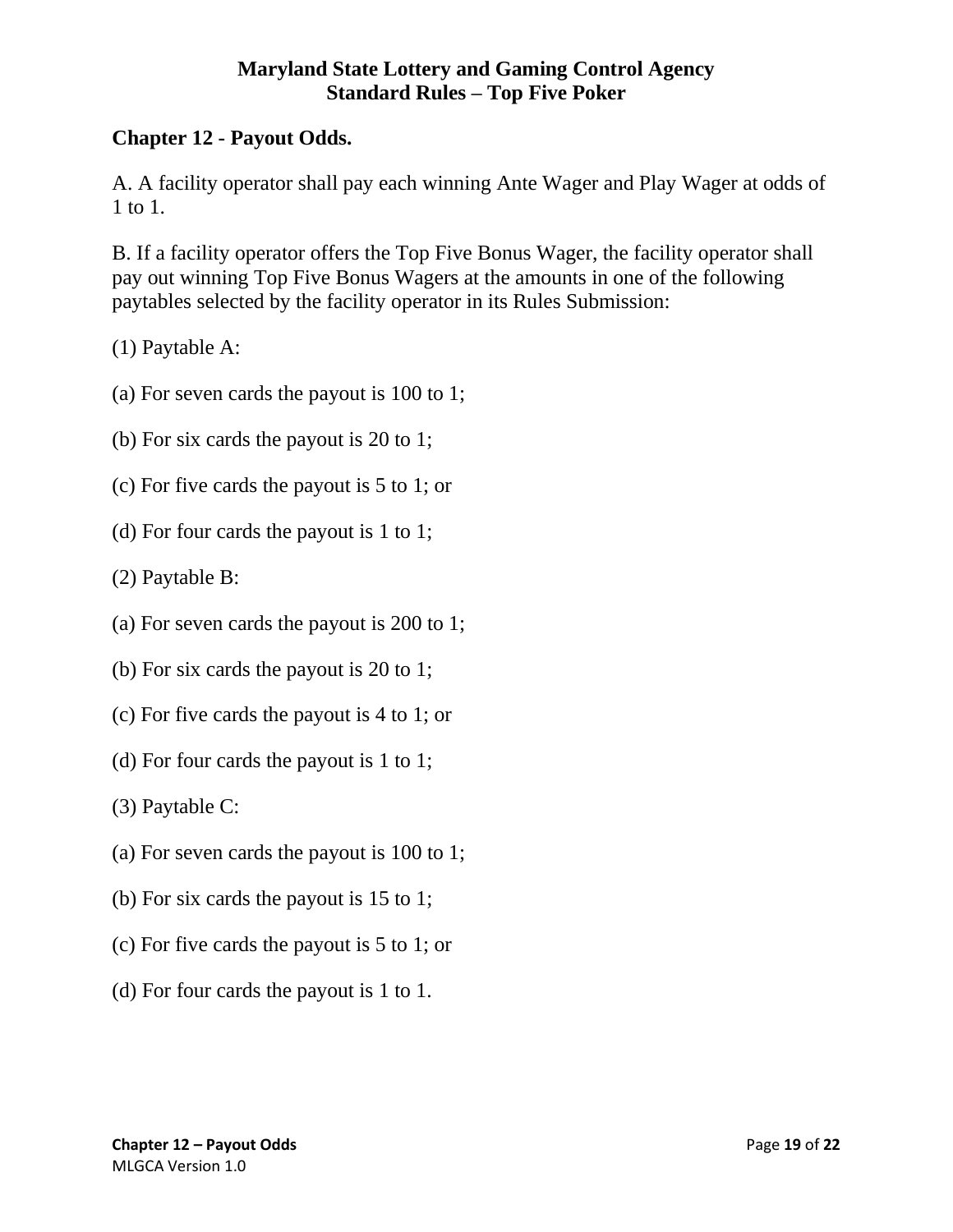# <span id="page-18-0"></span>**Chapter 12 - Payout Odds.**

A. A facility operator shall pay each winning Ante Wager and Play Wager at odds of 1 to 1.

B. If a facility operator offers the Top Five Bonus Wager, the facility operator shall pay out winning Top Five Bonus Wagers at the amounts in one of the following paytables selected by the facility operator in its Rules Submission:

(1) Paytable A:

- (a) For seven cards the payout is 100 to 1;
- (b) For six cards the payout is 20 to 1;
- (c) For five cards the payout is 5 to 1; or
- (d) For four cards the payout is 1 to 1;
- (2) Paytable B:
- (a) For seven cards the payout is 200 to 1;
- (b) For six cards the payout is 20 to 1;
- (c) For five cards the payout is 4 to 1; or
- (d) For four cards the payout is 1 to 1;

(3) Paytable C:

- (a) For seven cards the payout is 100 to 1;
- (b) For six cards the payout is 15 to 1;
- (c) For five cards the payout is 5 to 1; or
- (d) For four cards the payout is 1 to 1.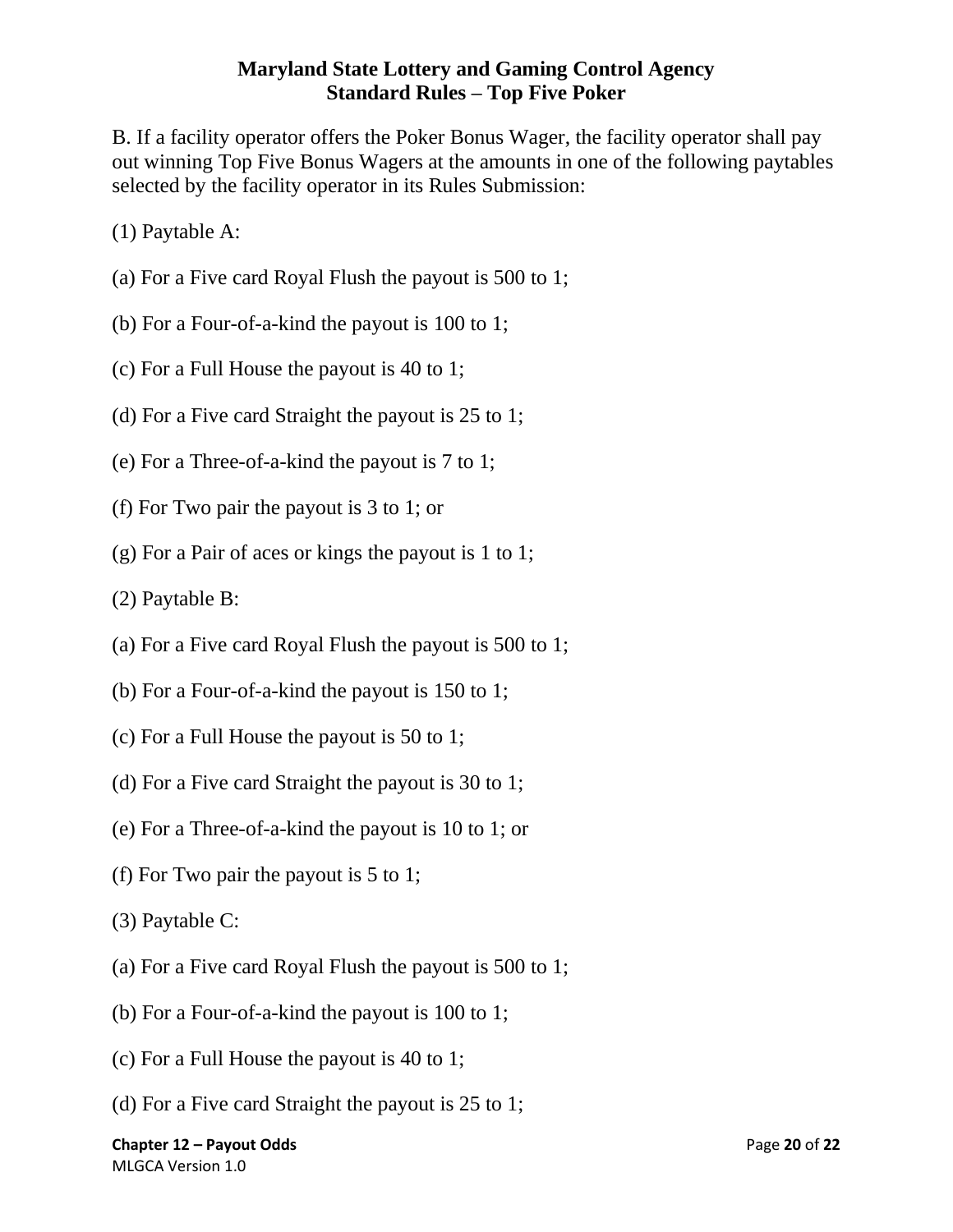B. If a facility operator offers the Poker Bonus Wager, the facility operator shall pay out winning Top Five Bonus Wagers at the amounts in one of the following paytables selected by the facility operator in its Rules Submission:

(1) Paytable A:

- (a) For a Five card Royal Flush the payout is 500 to 1;
- (b) For a Four-of-a-kind the payout is 100 to 1;
- (c) For a Full House the payout is 40 to 1;
- (d) For a Five card Straight the payout is 25 to 1;
- (e) For a Three-of-a-kind the payout is 7 to 1;
- (f) For Two pair the payout is 3 to 1; or
- (g) For a Pair of aces or kings the payout is 1 to 1;
- (2) Paytable B:
- (a) For a Five card Royal Flush the payout is 500 to 1;
- (b) For a Four-of-a-kind the payout is 150 to 1;
- (c) For a Full House the payout is 50 to 1;
- (d) For a Five card Straight the payout is 30 to 1;
- (e) For a Three-of-a-kind the payout is 10 to 1; or
- (f) For Two pair the payout is 5 to 1;
- (3) Paytable C:
- (a) For a Five card Royal Flush the payout is 500 to 1;
- (b) For a Four-of-a-kind the payout is 100 to 1;
- (c) For a Full House the payout is 40 to 1;
- (d) For a Five card Straight the payout is 25 to 1;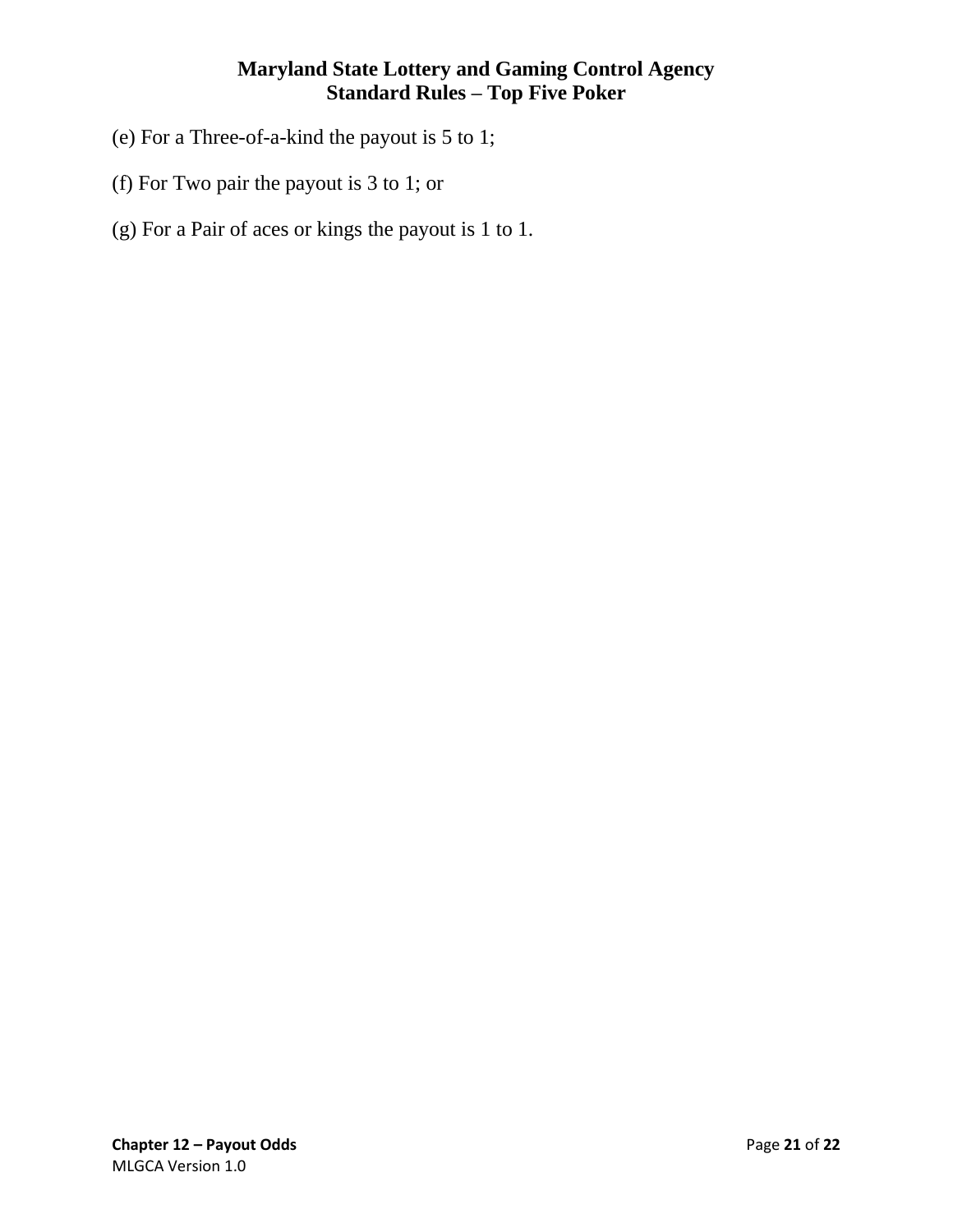- (e) For a Three-of-a-kind the payout is 5 to 1;
- (f) For Two pair the payout is 3 to 1; or
- (g) For a Pair of aces or kings the payout is 1 to 1.